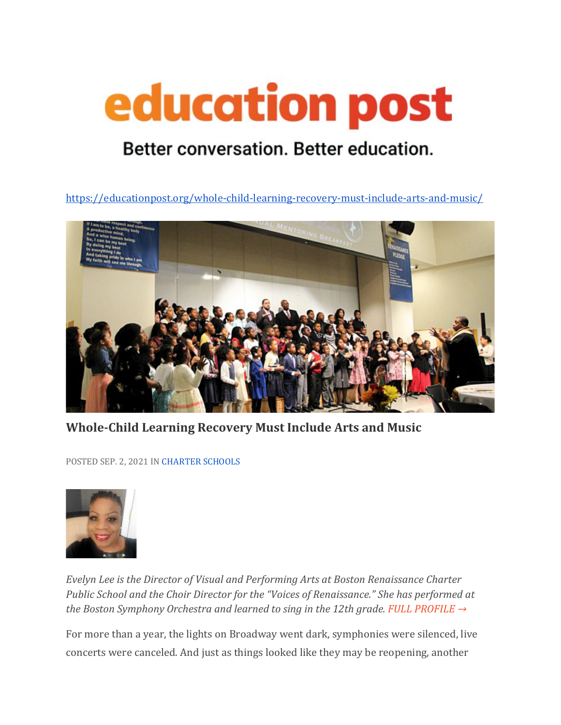## education post

## Better conversation. Better education.

<https://educationpost.org/whole-child-learning-recovery-must-include-arts-and-music/>



**Whole-Child Learning Recovery Must Include Arts and Music**

POSTED SEP. 2, 2021 I[N CHARTER SCHOOLS](https://educationpost.org/conversation/blog/charter-schools/)



*Evelyn Lee is the Director of Visual and Performing Arts at Boston Renaissance Charter Public School and the Choir Director for the "Voices of Renaissance." She has performed at the Boston Symphony Orchestra and learned to sing in the 12th grade. [FULL PROFILE →](https://educationpost.org/network/evelyn-lee/)* 

For more than a year, the lights on Broadway went dark, symphonies were silenced, live concerts were canceled. And just as things looked like they may be reopening, another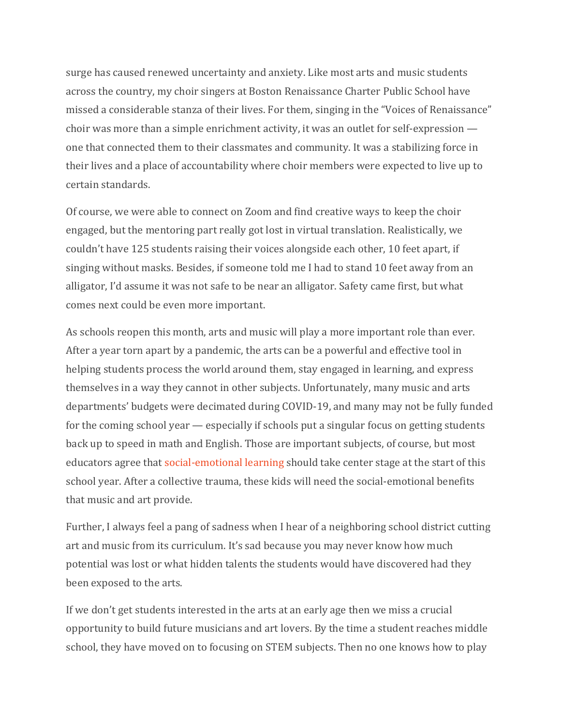surge has caused renewed uncertainty and anxiety. Like most arts and music students across the country, my choir singers at Boston Renaissance Charter Public School have missed a considerable stanza of their lives. For them, singing in the "Voices of Renaissance" choir was more than a simple enrichment activity, it was an outlet for self-expression one that connected them to their classmates and community. It was a stabilizing force in their lives and a place of accountability where choir members were expected to live up to certain standards.

Of course, we were able to connect on Zoom and find creative ways to keep the choir engaged, but the mentoring part really got lost in virtual translation. Realistically, we couldn't have 125 students raising their voices alongside each other, 10 feet apart, if singing without masks. Besides, if someone told me I had to stand 10 feet away from an alligator, I'd assume it was not safe to be near an alligator. Safety came first, but what comes next could be even more important.

As schools reopen this month, arts and music will play a more important role than ever. After a year torn apart by a pandemic, the arts can be a powerful and effective tool in helping students process the world around them, stay engaged in learning, and express themselves in a way they cannot in other subjects. Unfortunately, many music and arts departments' budgets were decimated during COVID-19, and many may not be fully funded for the coming school year — especially if schools put a singular focus on getting students back up to speed in math and English. Those are important subjects, of course, but most educators agree that [social-emotional learning](https://educationpost.org/tag/social-emotional-learning/) should take center stage at the start of this school year. After a collective trauma, these kids will need the social-emotional benefits that music and art provide.

Further, I always feel a pang of sadness when I hear of a neighboring school district cutting art and music from its curriculum. It's sad because you may never know how much potential was lost or what hidden talents the students would have discovered had they been exposed to the arts.

If we don't get students interested in the arts at an early age then we miss a crucial opportunity to build future musicians and art lovers. By the time a student reaches middle school, they have moved on to focusing on STEM subjects. Then no one knows how to play